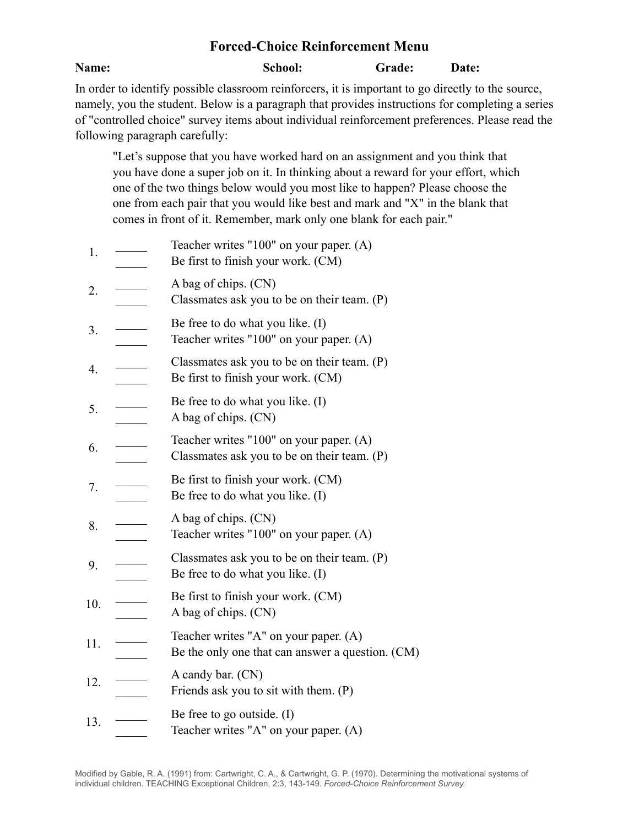## **Forced-Choice Reinforcement Menu**

## **Name:** School: Grade: Date:

In order to identify possible classroom reinforcers, it is important to go directly to the source, namely, you the student. Below is a paragraph that provides instructions for completing a series of "controlled choice" survey items about individual reinforcement preferences. Please read the following paragraph carefully:

"Let's suppose that you have worked hard on an assignment and you think that you have done a super job on it. In thinking about a reward for your effort, which one of the two things below would you most like to happen? Please choose the one from each pair that you would like best and mark and "X" in the blank that comes in front of it. Remember, mark only one blank for each pair."

- $1.$ Teacher writes "100" on your paper. (A)
- $\mathcal{L}$ Be first to finish your work. (CM)
- 2. \_\_\_\_\_ A bag of chips. (CN)
- $\mathcal{L}$ Classmates ask you to be on their team. (P)
- 3. \_\_\_\_\_ Be free to do what you like. (I)
- $\mathcal{L}$ Teacher writes "100" on your paper. (A)
- 4. \_\_\_\_\_  $\mathcal{L}$ Classmates ask you to be on their team. (P) Be first to finish your work. (CM)
- 5. \_\_\_\_\_ Be free to do what you like. (I)
- $\mathcal{L}$ A bag of chips. (CN)
- 6. \_\_\_\_\_  $\mathcal{L}$ Teacher writes "100" on your paper. (A) Classmates ask you to be on their team. (P)
- 7. \_\_\_\_\_ Be first to finish your work. (CM)
- $\mathcal{L}$ Be free to do what you like. (I)
- 8. \_\_\_\_\_ A bag of chips. (CN)
- Teacher writes "100" on your paper. (A)
- 9. \_\_\_\_\_ Classmates ask you to be on their team. (P)
- $\mathcal{L}$ Be free to do what you like. (I)
- $10.$  Be first to finish your work. (CM)
- $\mathcal{L}$ A bag of chips. (CN)
- 11. \_\_\_\_\_ Teacher writes "A" on your paper. (A)
- $\mathcal{L}$ Be the only one that can answer a question. (CM)
- 12. \_\_\_\_\_ A candy bar. (CN)
- $\mathcal{L}$ Friends ask you to sit with them. (P)
- 13. \_\_\_\_\_ Be free to go outside. (I)
- $\mathcal{L}$ Teacher writes "A" on your paper. (A)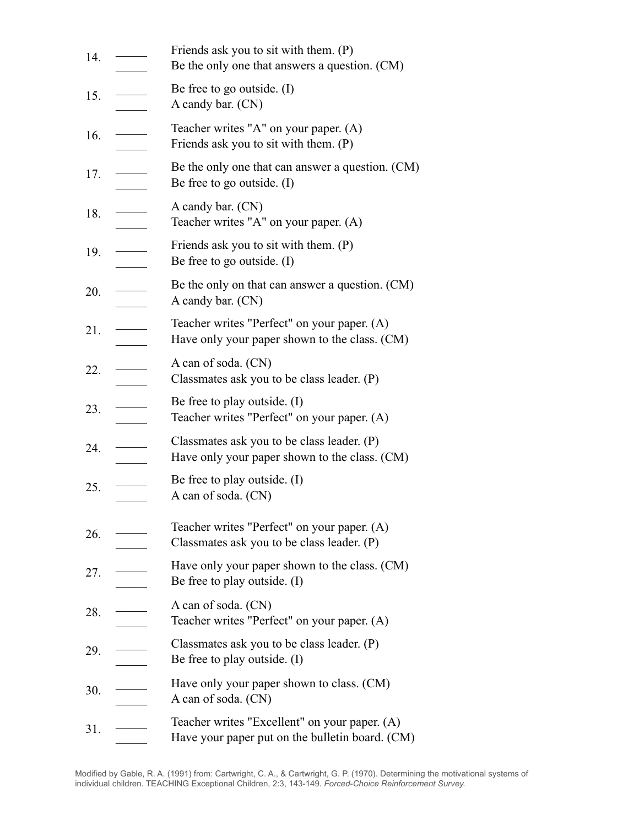| 14. |                                                                                                                                                                                                                                                                                                                                                                                                                                                          | Friends ask you to sit with them. (P)<br>Be the only one that answers a question. (CM)           |
|-----|----------------------------------------------------------------------------------------------------------------------------------------------------------------------------------------------------------------------------------------------------------------------------------------------------------------------------------------------------------------------------------------------------------------------------------------------------------|--------------------------------------------------------------------------------------------------|
| 15. |                                                                                                                                                                                                                                                                                                                                                                                                                                                          | Be free to go outside. $(I)$<br>A candy bar. (CN)                                                |
| 16. |                                                                                                                                                                                                                                                                                                                                                                                                                                                          | Teacher writes "A" on your paper. (A)<br>Friends ask you to sit with them. (P)                   |
| 17. |                                                                                                                                                                                                                                                                                                                                                                                                                                                          | Be the only one that can answer a question. (CM)<br>Be free to go outside. $(I)$                 |
| 18. |                                                                                                                                                                                                                                                                                                                                                                                                                                                          | A candy bar. (CN)<br>Teacher writes "A" on your paper. (A)                                       |
| 19. | $\frac{1}{\sqrt{2\pi}}\left( \frac{1}{\sqrt{2\pi}}\right) \left( \frac{1}{\sqrt{2\pi}}\right) \left( \frac{1}{\sqrt{2\pi}}\right) \left( \frac{1}{\sqrt{2\pi}}\right) \left( \frac{1}{\sqrt{2\pi}}\right) \left( \frac{1}{\sqrt{2\pi}}\right) \left( \frac{1}{\sqrt{2\pi}}\right) \left( \frac{1}{\sqrt{2\pi}}\right) \left( \frac{1}{\sqrt{2\pi}}\right) \left( \frac{1}{\sqrt{2\pi}}\right) \left( \frac{1}{\sqrt{2\pi}}\right) \left( \frac{1}{\sqrt$ | Friends ask you to sit with them. (P)<br>Be free to go outside. $(I)$                            |
| 20. |                                                                                                                                                                                                                                                                                                                                                                                                                                                          | Be the only on that can answer a question. (CM)<br>A candy bar. (CN)                             |
| 21. |                                                                                                                                                                                                                                                                                                                                                                                                                                                          | Teacher writes "Perfect" on your paper. (A)<br>Have only your paper shown to the class. (CM)     |
| 22. |                                                                                                                                                                                                                                                                                                                                                                                                                                                          | A can of soda. (CN)<br>Classmates ask you to be class leader. (P)                                |
| 23. |                                                                                                                                                                                                                                                                                                                                                                                                                                                          | Be free to play outside. (I)<br>Teacher writes "Perfect" on your paper. (A)                      |
| 24. |                                                                                                                                                                                                                                                                                                                                                                                                                                                          | Classmates ask you to be class leader. (P)<br>Have only your paper shown to the class. (CM)      |
| 25. |                                                                                                                                                                                                                                                                                                                                                                                                                                                          | Be free to play outside. (I)<br>A can of soda. (CN)                                              |
| 26. |                                                                                                                                                                                                                                                                                                                                                                                                                                                          | Teacher writes "Perfect" on your paper. (A)<br>Classmates ask you to be class leader. (P)        |
| 27. |                                                                                                                                                                                                                                                                                                                                                                                                                                                          | Have only your paper shown to the class. (CM)<br>Be free to play outside. (I)                    |
| 28. |                                                                                                                                                                                                                                                                                                                                                                                                                                                          | A can of soda. (CN)<br>Teacher writes "Perfect" on your paper. (A)                               |
| 29. |                                                                                                                                                                                                                                                                                                                                                                                                                                                          | Classmates ask you to be class leader. (P)<br>Be free to play outside. (I)                       |
| 30. |                                                                                                                                                                                                                                                                                                                                                                                                                                                          | Have only your paper shown to class. (CM)<br>A can of soda. (CN)                                 |
| 31. |                                                                                                                                                                                                                                                                                                                                                                                                                                                          | Teacher writes "Excellent" on your paper. (A)<br>Have your paper put on the bulletin board. (CM) |